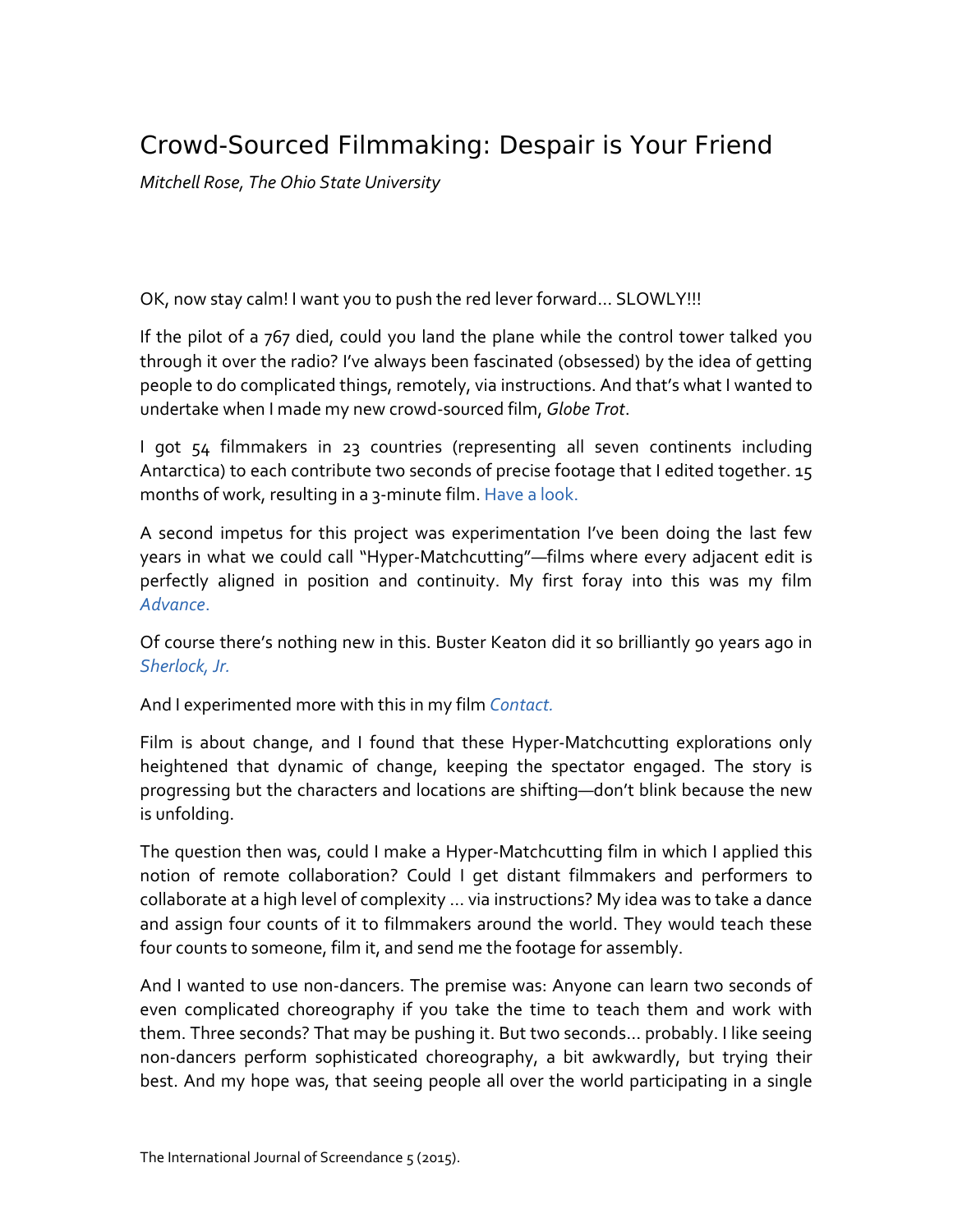## Crowd-Sourced Filmmaking: Despair is Your Friend

*Mitchell Rose, The Ohio State University*

OK, now stay calm! I want you to push the red lever forward… SLOWLY!!!

If the pilot of a 767 died, could you land the plane while the control tower talked you through it over the radio? I've always been fascinated (obsessed) by the idea of getting people to do complicated things, remotely, via instructions. And that's what I wanted to undertake when I made my new crowd-sourced film, *Globe Trot*.

I got 54 filmmakers in 23 countries (representing all seven continents including Antarctica) to each contribute two seconds of precise footage that I edited together. 15 months of work, resulting in a 3-minute film. [Have a look.](http://vimeo.com/74569852)

A second impetus for this project was experimentation I've been doing the last few years in what we could call "Hyper-Matchcutting"—films where every adjacent edit is perfectly aligned in position and continuity. My first foray into this was my film *[Advance](http://vimeo.com/37592419)*.

Of course there's nothing new in this. Buster Keaton did it so brilliantly 90 years ago in *[Sherlock, Jr.](https://www.youtube.com/watch?v=d0stAxe3uvM&t=3m5s)*

And I experimented more with this in my film *[Contact.](http://vimeo.com/40945157)*

Film is about change, and I found that these Hyper-Matchcutting explorations only heightened that dynamic of change, keeping the spectator engaged. The story is progressing but the characters and locations are shifting—don't blink because the new is unfolding.

The question then was, could I make a Hyper-Matchcutting film in which I applied this notion of remote collaboration? Could I get distant filmmakers and performers to collaborate at a high level of complexity … via instructions? My idea was to take a dance and assign four counts of it to filmmakers around the world. They would teach these four counts to someone, film it, and send me the footage for assembly.

And I wanted to use non-dancers. The premise was: Anyone can learn two seconds of even complicated choreography if you take the time to teach them and work with them. Three seconds? That may be pushing it. But two seconds… probably. I like seeing non-dancers perform sophisticated choreography, a bit awkwardly, but trying their best. And my hope was, that seeing people all over the world participating in a single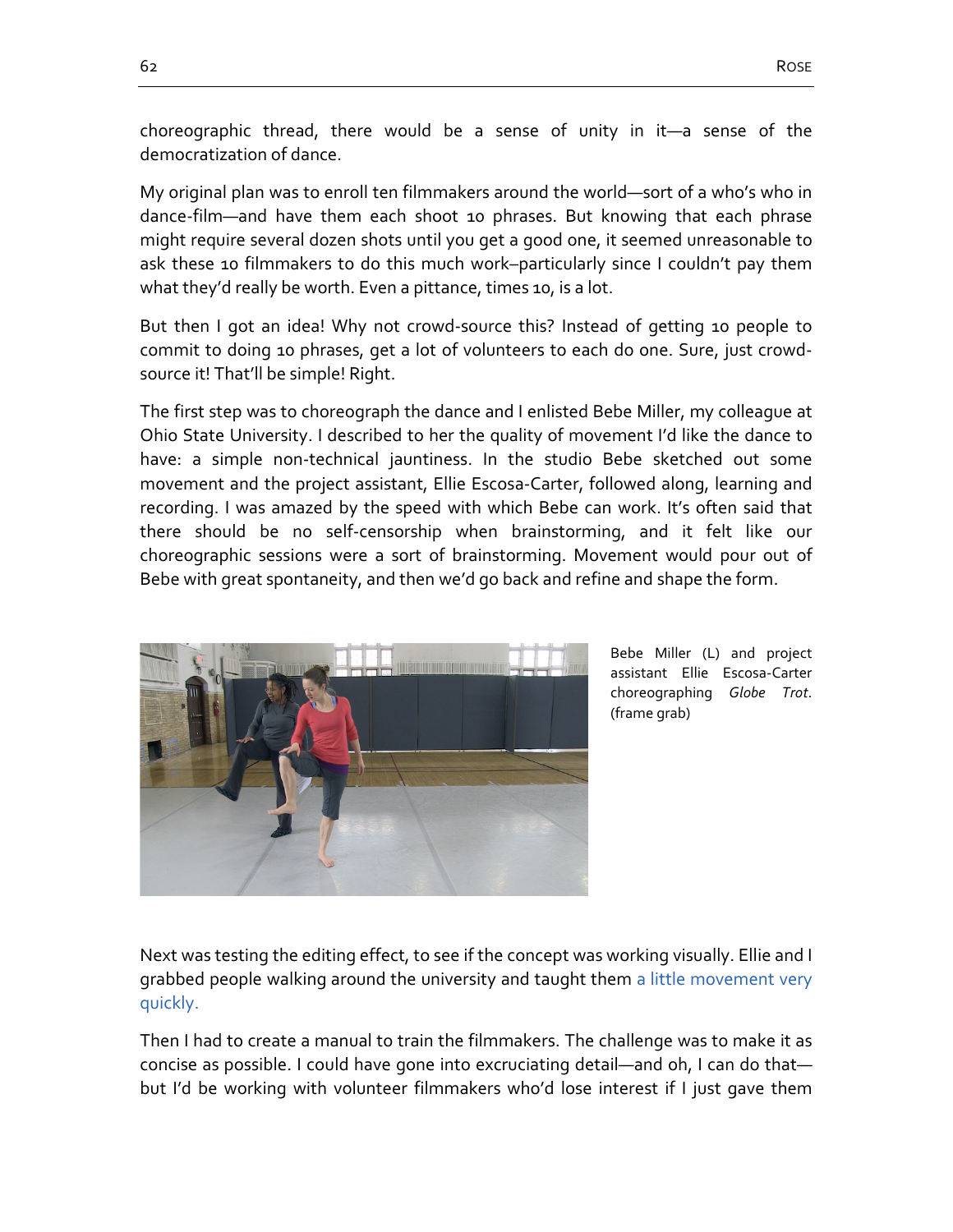choreographic thread, there would be a sense of unity in it—a sense of the democratization of dance.

My original plan was to enroll ten filmmakers around the world—sort of a who's who in dance-film—and have them each shoot 10 phrases. But knowing that each phrase might require several dozen shots until you get a good one, it seemed unreasonable to ask these 10 filmmakers to do this much work–particularly since I couldn't pay them what they'd really be worth. Even a pittance, times 10, is a lot.

But then I got an idea! Why not crowd-source this? Instead of getting 10 people to commit to doing 10 phrases, get a lot of volunteers to each do one. Sure, just crowdsource it! That'll be simple! Right.

The first step was to choreograph the dance and I enlisted Bebe Miller, my colleague at Ohio State University. I described to her the quality of movement I'd like the dance to have: a simple non-technical jauntiness. In the studio Bebe sketched out some movement and the project assistant, Ellie Escosa-Carter, followed along, learning and recording. I was amazed by the speed with which Bebe can work. It's often said that there should be no self-censorship when brainstorming, and it felt like our choreographic sessions were a sort of brainstorming. Movement would pour out of Bebe with great spontaneity, and then we'd go back and refine and shape the form.



Bebe Miller (L) and project assistant Ellie Escosa-Carter choreographing *Globe Trot*. (frame grab)

Next was testing the editing effect, to see if the concept was working visually. Ellie and I grabbed people walking around the university and taught them [a little movement very](http://vimeo.com/60112206)  [quickly.](http://vimeo.com/60112206)

Then I had to create a manual to train the filmmakers. The challenge was to make it as concise as possible. I could have gone into excruciating detail—and oh, I can do that but I'd be working with volunteer filmmakers who'd lose interest if I just gave them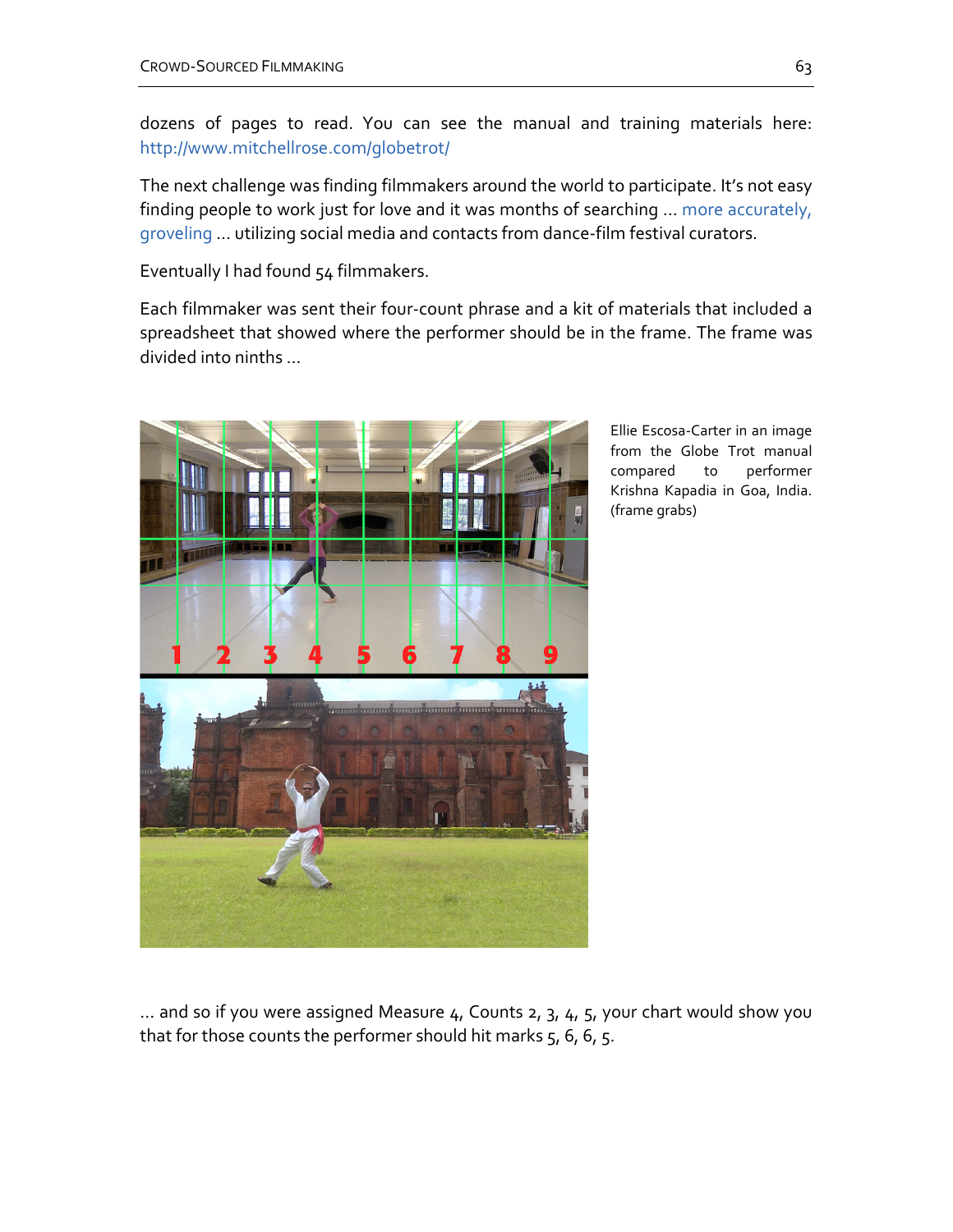dozens of pages to read. You can see the manual and training materials here: <http://www.mitchellrose.com/globetrot/>

The next challenge was finding filmmakers around the world to participate. It's not easy finding people to work just for love and it was months of searching ... more accurately, [groveling](http://vimeo.com/61797971) … utilizing social media and contacts from dance-film festival curators.

Eventually I had found 54 filmmakers.

Each filmmaker was sent their four-count phrase and a kit of materials that included a spreadsheet that showed where the performer should be in the frame. The frame was divided into ninths …



Ellie Escosa-Carter in an image from the Globe Trot manual compared to performer Krishna Kapadia in Goa, India. (frame grabs)

 $\ldots$  and so if you were assigned Measure  $4$ , Counts 2, 3,  $4$ , 5, your chart would show you that for those counts the performer should hit marks  $5, 6, 6, 5$ .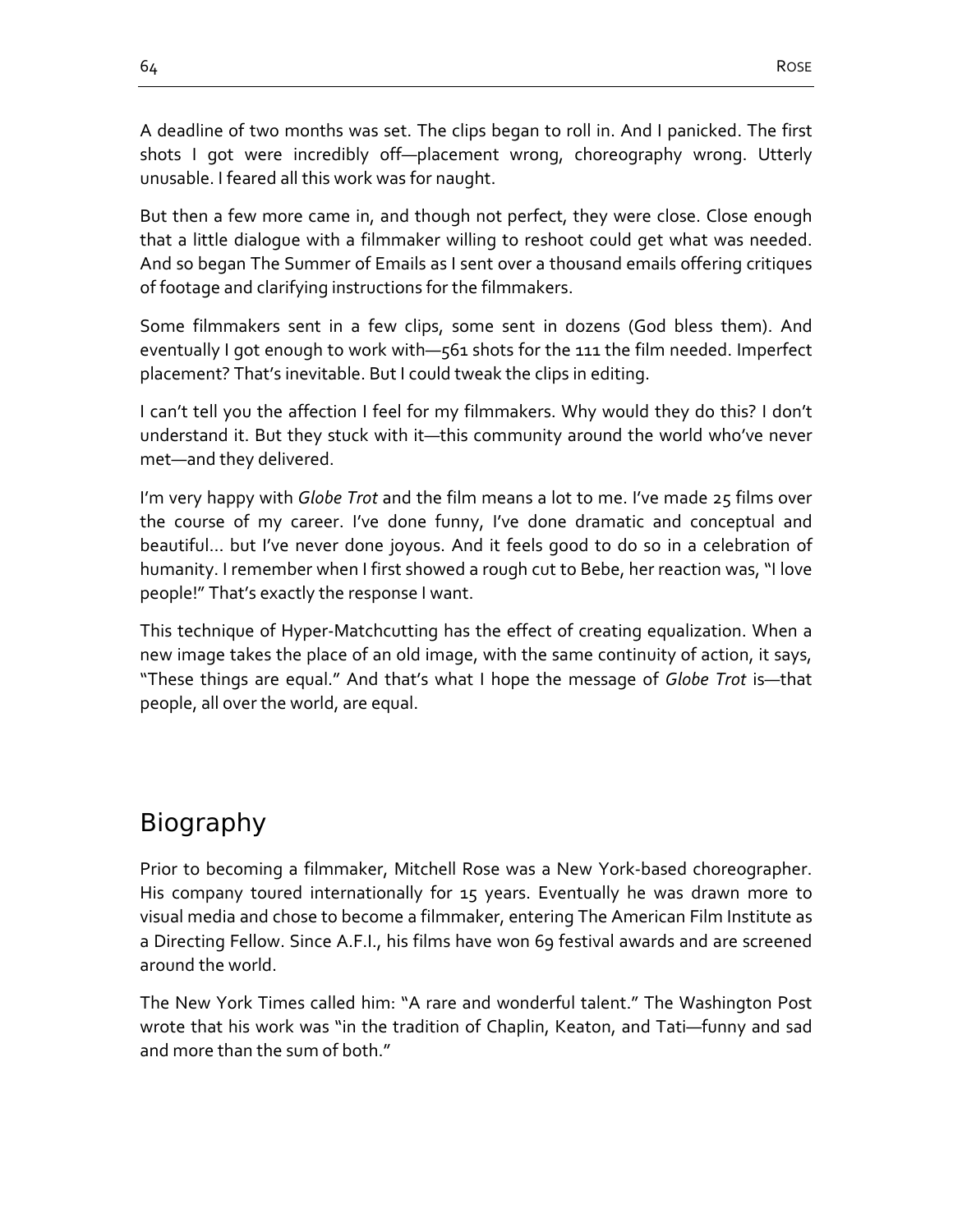A deadline of two months was set. The clips began to roll in. And I panicked. The first shots I got were incredibly off—placement wrong, choreography wrong. Utterly unusable. I feared all this work was for naught.

But then a few more came in, and though not perfect, they were close. Close enough that a little dialogue with a filmmaker willing to reshoot could get what was needed. And so began The Summer of Emails as I sent over a thousand emails offering critiques of footage and clarifying instructions for the filmmakers.

Some filmmakers sent in a few clips, some sent in dozens (God bless them). And eventually I got enough to work with—561 shots for the 111 the film needed. Imperfect placement? That's inevitable. But I could tweak the clips in editing.

I can't tell you the affection I feel for my filmmakers. Why would they do this? I don't understand it. But they stuck with it—this community around the world who've never met—and they delivered.

I'm very happy with *Globe Trot* and the film means a lot to me. I've made 25 films over the course of my career. I've done funny, I've done dramatic and conceptual and beautiful… but I've never done joyous. And it feels good to do so in a celebration of humanity. I remember when I first showed a rough cut to Bebe, her reaction was, "I love people!" That's exactly the response I want.

This technique of Hyper-Matchcutting has the effect of creating equalization. When a new image takes the place of an old image, with the same continuity of action, it says, "These things are equal." And that's what I hope the message of *Globe Trot* is—that people, all over the world, are equal.

## Biography

Prior to becoming a filmmaker, Mitchell Rose was a New York-based choreographer. His company toured internationally for 15 years. Eventually he was drawn more to visual media and chose to become a filmmaker, entering The American Film Institute as a Directing Fellow. Since A.F.I., his films have won 69 festival awards and are screened around the world.

The New York Times called him: "A rare and wonderful talent." The Washington Post wrote that his work was "in the tradition of Chaplin, Keaton, and Tati—funny and sad and more than the sum of both."